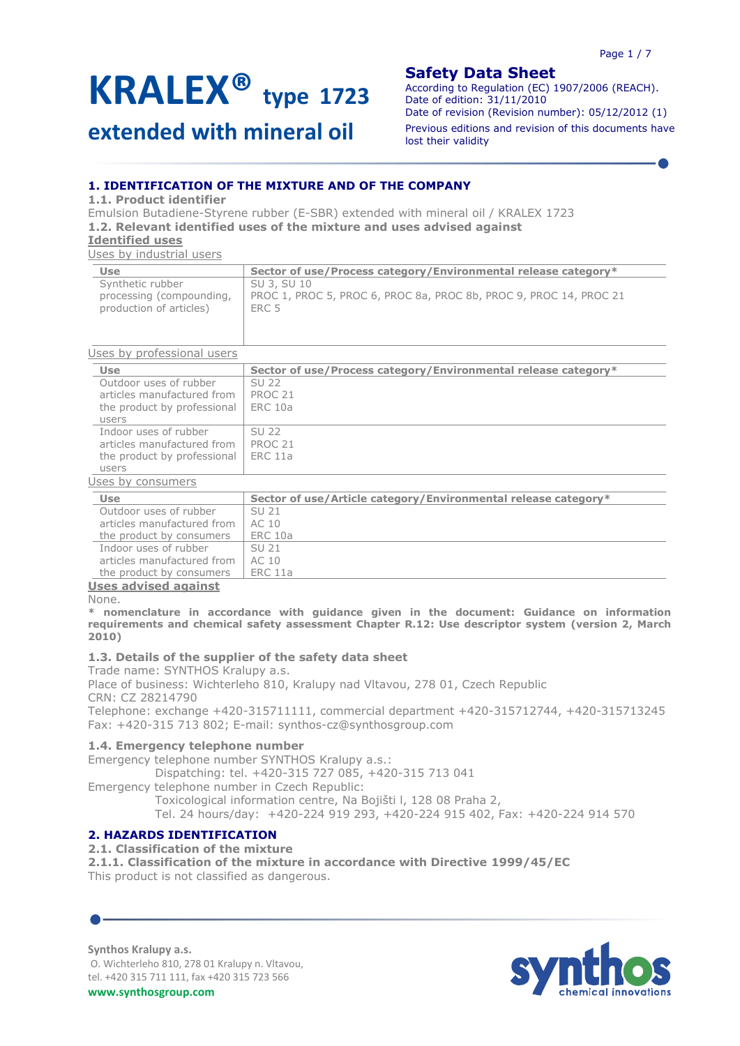# **extended with mineral oil**

# **Safety Data Sheet**

According to Regulation (EC) 1907/2006 (REACH). Date of edition: 31/11/2010 Date of revision (Revision number): 05/12/2012 (1) Previous editions and revision of this documents have lost their validity

# **1. IDENTIFICATION OF THE MIXTURE AND OF THE COMPANY**

**1.1. Product identifier**

Emulsion Butadiene-Styrene rubber (E-SBR) extended with mineral oil / KRALEX 1723 **1.2. Relevant identified uses of the mixture and uses advised against**

### **Identified uses**

Uses by industrial users

| Use                      | Sector of use/Process category/Environmental release category*     |
|--------------------------|--------------------------------------------------------------------|
| Synthetic rubber         | SU 3, SU 10                                                        |
| processing (compounding, | PROC 1, PROC 5, PROC 6, PROC 8a, PROC 8b, PROC 9, PROC 14, PROC 21 |
| production of articles)  | ERC 5                                                              |
|                          |                                                                    |

#### Uses by professional users

| oped by professional ascro                                                                                                                                                                                                     |                                                                |
|--------------------------------------------------------------------------------------------------------------------------------------------------------------------------------------------------------------------------------|----------------------------------------------------------------|
| <b>Use</b>                                                                                                                                                                                                                     | Sector of use/Process category/Environmental release category* |
| Outdoor uses of rubber                                                                                                                                                                                                         | SU <sub>22</sub>                                               |
| articles manufactured from                                                                                                                                                                                                     | PROC <sub>21</sub>                                             |
| the product by professional                                                                                                                                                                                                    | <b>ERC 10a</b>                                                 |
| users                                                                                                                                                                                                                          |                                                                |
| Indoor uses of rubber                                                                                                                                                                                                          | SU <sub>22</sub>                                               |
| articles manufactured from                                                                                                                                                                                                     | PROC <sub>21</sub>                                             |
| the product by professional                                                                                                                                                                                                    | <b>ERC 11a</b>                                                 |
| users                                                                                                                                                                                                                          |                                                                |
| Uses by consumers                                                                                                                                                                                                              |                                                                |
| <b>Use</b>                                                                                                                                                                                                                     | Sector of use/Article category/Environmental release category* |
| Outdoor uses of rubber                                                                                                                                                                                                         | SU <sub>21</sub>                                               |
| articles manufactured from                                                                                                                                                                                                     | AC 10                                                          |
| and the contract of the contract of the contract of the contract of the contract of the contract of the contract of the contract of the contract of the contract of the contract of the contract of the contract of the contra | $\Box$ $\Box$ $\Box$ $\Box$                                    |

| Outdoor uses of rubber     | SU 21   |
|----------------------------|---------|
| articles manufactured from | AC 10   |
| the product by consumers   | ERC 10a |
| Indoor uses of rubber      | SU 21   |
| articles manufactured from | AC 10   |
| the product by consumers   | ERC 11a |
| Hege adviced against       |         |

#### **Uses advised against**

None.

**\* nomenclature in accordance with guidance given in the document: Guidance on information requirements and chemical safety assessment Chapter R.12: Use descriptor system (version 2, March 2010)**

# **1.3. Details of the supplier of the safety data sheet**

Trade name: SYNTHOS Kralupy a.s. Place of business: Wichterleho 810, Kralupy nad Vltavou, 278 01, Czech Republic

CRN: CZ 28214790

Telephone: exchange +420-315711111, commercial department +420-315712744, +420-315713245 Fax: +420-315 713 802; E-mail: [synthos-cz@synthosgroup.com](mailto:synthos-cz@synthosgroup.com)

# **1.4. Emergency telephone number**

Emergency telephone number SYNTHOS Kralupy a.s.:

Dispatching: tel. +420-315 727 085, +420-315 713 041

Emergency telephone number in Czech Republic: Toxicological information centre, Na Bojišti l, 128 08 Praha 2, Tel. 24 hours/day: +420-224 919 293, +420-224 915 402, Fax: +420-224 914 570

# **2. HAZARDS IDENTIFICATION**

# **2.1. Classification of the mixture**

**2.1.1. Classification of the mixture in accordance with Directive 1999/45/EC** This product is not classified as dangerous.

**Synthos Kralupy a.s.**

O. Wichterleho 810, 278 01 Kralupy n. Vltavou, tel. +420 315 711 111, fax +420 315 723 566 **www.synthosgroup.com**

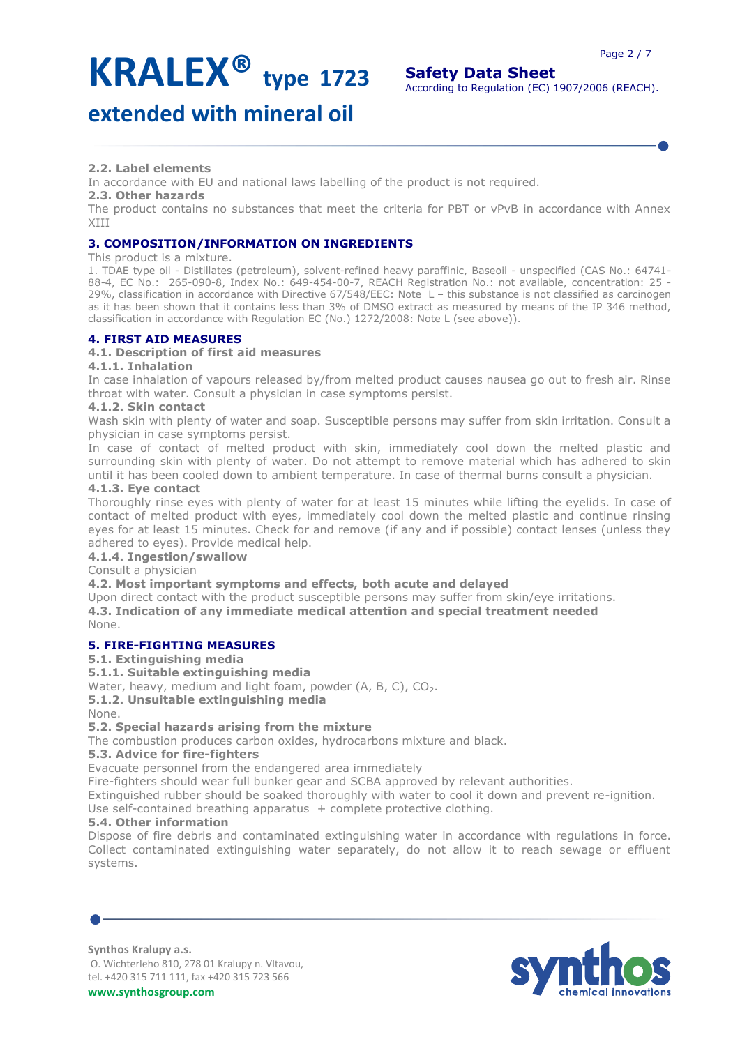# **extended with mineral oil**

# **2.2. Label elements**

In accordance with EU and national laws labelling of the product is not required.

# **2.3. Other hazards**

The product contains no substances that meet the criteria for PBT or vPvB in accordance with Annex XIII

# **3. COMPOSITION/INFORMATION ON INGREDIENTS**

### This product is a mixture.

1. TDAE type oil - Distillates (petroleum), solvent-refined heavy paraffinic, Baseoil - unspecified (CAS No.: 64741- 88-4, EC No.: 265-090-8, Index No.: 649-454-00-7, REACH Registration No.: not available, concentration: 25 - 29%, classification in accordance with Directive 67/548/EEC: Note L – this substance is not classified as carcinogen as it has been shown that it contains less than 3% of DMSO extract as measured by means of the IP 346 method, classification in accordance with Regulation EC (No.) 1272/2008: Note L (see above)).

# **4. FIRST AID MEASURES**

# **4.1. Description of first aid measures**

### **4.1.1. Inhalation**

In case inhalation of vapours released by/from melted product causes nausea go out to fresh air. Rinse throat with water. Consult a physician in case symptoms persist.

# **4.1.2. Skin contact**

Wash skin with plenty of water and soap. Susceptible persons may suffer from skin irritation. Consult a physician in case symptoms persist.

In case of contact of melted product with skin, immediately cool down the melted plastic and surrounding skin with plenty of water. Do not attempt to remove material which has adhered to skin until it has been cooled down to ambient temperature. In case of thermal burns consult a physician.

### **4.1.3. Eye contact**

Thoroughly rinse eyes with plenty of water for at least 15 minutes while lifting the eyelids. In case of contact of melted product with eyes, immediately cool down the melted plastic and continue rinsing eyes for at least 15 minutes. Check for and remove (if any and if possible) contact lenses (unless they adhered to eyes). Provide medical help.

# **4.1.4. Ingestion/swallow**

Consult a physician

# **4.2. Most important symptoms and effects, both acute and delayed**

Upon direct contact with the product susceptible persons may suffer from skin/eye irritations. **4.3. Indication of any immediate medical attention and special treatment needed** None.

# **5. FIRE-FIGHTING MEASURES**

# **5.1. Extinguishing media**

**5.1.1. Suitable extinguishing media**

Water, heavy, medium and light foam, powder (A, B, C), CO<sub>2</sub>.

# **5.1.2. Unsuitable extinguishing media**

None.

# **5.2. Special hazards arising from the mixture**

The combustion produces carbon oxides, hydrocarbons mixture and black.

# **5.3. Advice for fire-fighters**

Evacuate personnel from the endangered area immediately

Fire-fighters should wear full bunker gear and SCBA approved by relevant authorities.

Extinguished rubber should be soaked thoroughly with water to cool it down and prevent re-ignition.

Use self-contained breathing apparatus + complete protective clothing.

# **5.4. Other information**

Dispose of fire debris and contaminated extinguishing water in accordance with regulations in force. Collect contaminated extinguishing water separately, do not allow it to reach sewage or effluent systems.

### **Synthos Kralupy a.s.** O. Wichterleho 810, 278 01 Kralupy n. Vltavou, tel. +420 315 711 111, fax +420 315 723 566

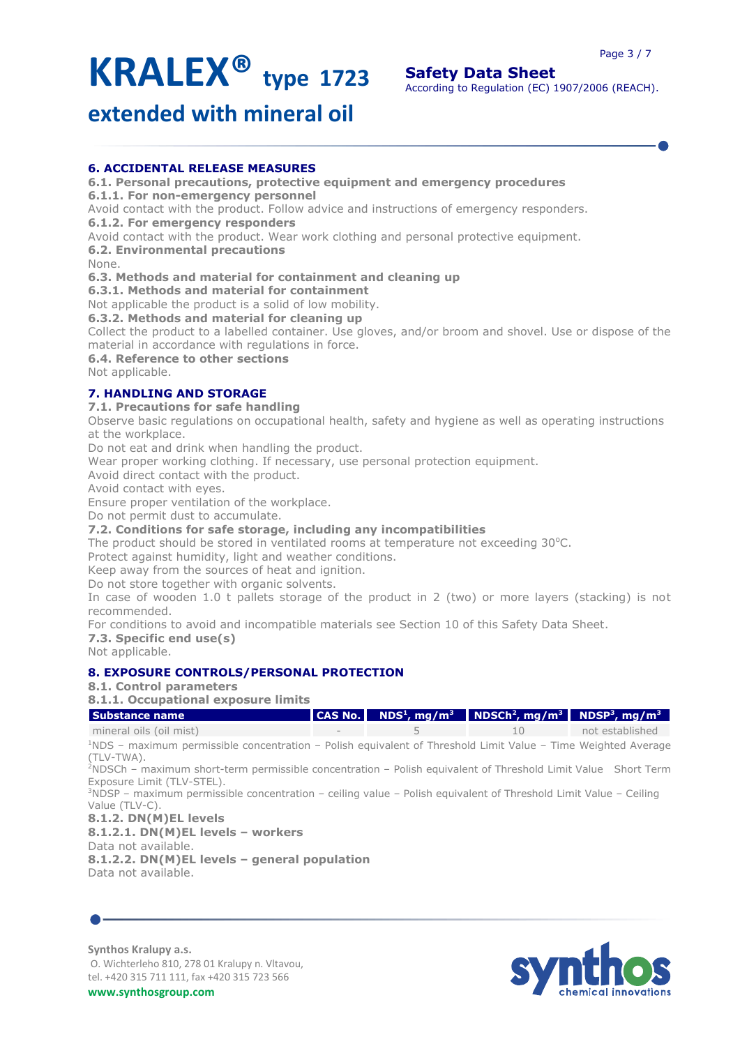**extended with mineral oil**

# **6. ACCIDENTAL RELEASE MEASURES**

**6.1. Personal precautions, protective equipment and emergency procedures**

**6.1.1. For non-emergency personnel**

Avoid contact with the product. Follow advice and instructions of emergency responders.

**6.1.2. For emergency responders**

Avoid contact with the product. Wear work clothing and personal protective equipment.

**6.2. Environmental precautions**

None.

# **6.3. Methods and material for containment and cleaning up**

**6.3.1. Methods and material for containment**

Not applicable the product is a solid of low mobility.

**6.3.2. Methods and material for cleaning up**

Collect the product to a labelled container. Use gloves, and/or broom and shovel. Use or dispose of the material in accordance with regulations in force.

**6.4. Reference to other sections**

Not applicable.

# **7. HANDLING AND STORAGE**

**7.1. Precautions for safe handling**

Observe basic regulations on occupational health, safety and hygiene as well as operating instructions at the workplace.

Do not eat and drink when handling the product.

Wear proper working clothing. If necessary, use personal protection equipment.

Avoid direct contact with the product.

Avoid contact with eyes.

Ensure proper ventilation of the workplace.

Do not permit dust to accumulate.

# **7.2. Conditions for safe storage, including any incompatibilities**

The product should be stored in ventilated rooms at temperature not exceeding  $30^{\circ}$ C.

Protect against humidity, light and weather conditions.

Keep away from the sources of heat and ignition.

Do not store together with organic solvents.

In case of wooden 1.0 t pallets storage of the product in 2 (two) or more layers (stacking) is not recommended.

For conditions to avoid and incompatible materials see Section 10 of this Safety Data Sheet.

**7.3. Specific end use(s)**

Not applicable.

# **8. EXPOSURE CONTROLS/PERSONAL PROTECTION**

# **8.1. Control parameters**

**8.1.1. Occupational exposure limits**

| <b>Substance name</b>                                                                                                                                   |   | CAS No. $\parallel$ NDS <sup>1</sup> , mg/m <sup>3</sup> $\parallel$ NDSCh <sup>2</sup> , mg/m <sup>3</sup> $\parallel$ NDSP <sup>3</sup> , mg/m <sup>3</sup> |                 |
|---------------------------------------------------------------------------------------------------------------------------------------------------------|---|---------------------------------------------------------------------------------------------------------------------------------------------------------------|-----------------|
| mineral oils (oil mist)                                                                                                                                 | 5 | 10                                                                                                                                                            | not established |
| $\textsuperscript{1}$ NDS – maximum permissible concentration – Polish equivalent of Threshold Limit Value – Time Weighted Average<br>(TLV-TWA).        |   |                                                                                                                                                               |                 |
| <sup>2</sup> NDSCh – maximum short-term permissible concentration – Polish equivalent of Threshold Limit Value Short Term<br>Exposure Limit (TLV-STEL). |   |                                                                                                                                                               |                 |
| <sup>3</sup> NDSP – maximum permissible concentration – ceiling value – Polish equivalent of Threshold Limit Value – Ceiling                            |   |                                                                                                                                                               |                 |
| Value (TLV-C).                                                                                                                                          |   |                                                                                                                                                               |                 |
| 8.1.2. DN(M)EL levels                                                                                                                                   |   |                                                                                                                                                               |                 |
| $8.1.2.1. DN(M)EL levels - workers$                                                                                                                     |   |                                                                                                                                                               |                 |
| Data not available.                                                                                                                                     |   |                                                                                                                                                               |                 |
| 8.1.2.2. DN(M)EL levels - general population                                                                                                            |   |                                                                                                                                                               |                 |
| Data not available.                                                                                                                                     |   |                                                                                                                                                               |                 |
|                                                                                                                                                         |   |                                                                                                                                                               |                 |
|                                                                                                                                                         |   |                                                                                                                                                               |                 |
|                                                                                                                                                         |   |                                                                                                                                                               |                 |

**Synthos Kralupy a.s.** O. Wichterleho 810, 278 01 Kralupy n. Vltavou, tel. +420 315 711 111, fax +420 315 723 566

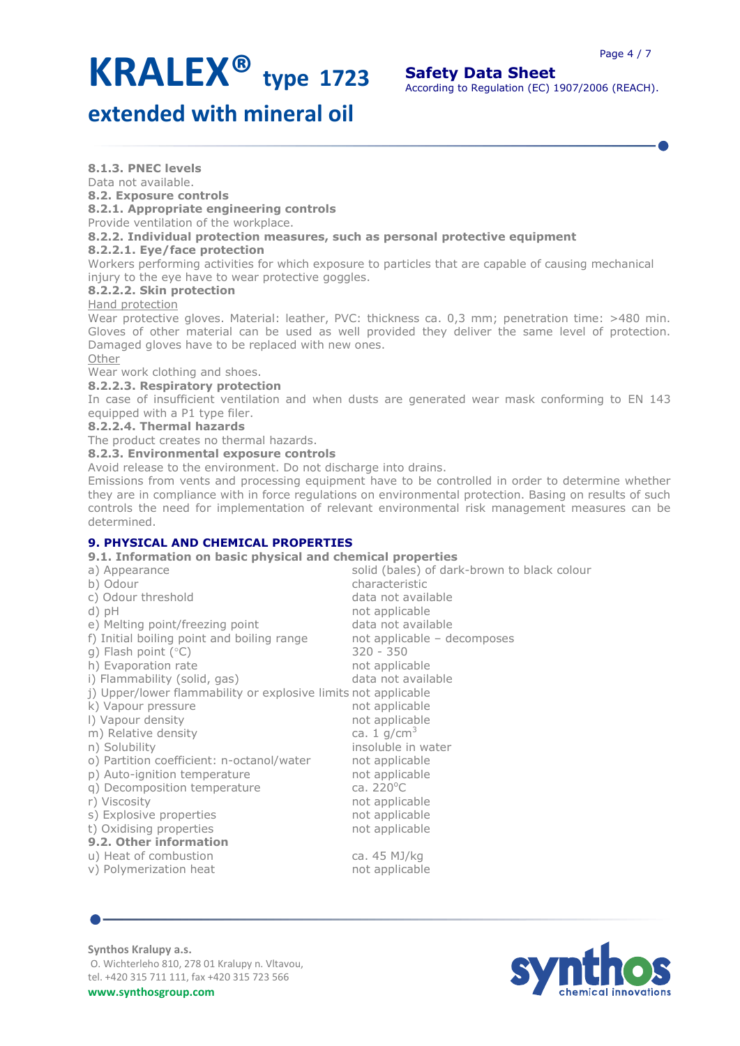# **Safety Data Sheet**

According to Regulation (EC) 1907/2006 (REACH).

# **extended with mineral oil**

**8.1.3. PNEC levels**

Data not available.

**8.2. Exposure controls**

**8.2.1. Appropriate engineering controls**

Provide ventilation of the workplace.

# **8.2.2. Individual protection measures, such as personal protective equipment**

### **8.2.2.1. Eye/face protection**

Workers performing activities for which exposure to particles that are capable of causing mechanical injury to the eye have to wear protective goggles.

# **8.2.2.2. Skin protection**

### Hand protection

Wear protective gloves. Material: leather, PVC: thickness ca. 0,3 mm; penetration time: >480 min. Gloves of other material can be used as well provided they deliver the same level of protection. Damaged gloves have to be replaced with new ones.

Other

Wear work clothing and shoes.

**8.2.2.3. Respiratory protection**

In case of insufficient ventilation and when dusts are generated wear mask conforming to EN 143 equipped with a P1 type filer.

# **8.2.2.4. Thermal hazards**

The product creates no thermal hazards.

**8.2.3. Environmental exposure controls**

Avoid release to the environment. Do not discharge into drains.

Emissions from vents and processing equipment have to be controlled in order to determine whether they are in compliance with in force regulations on environmental protection. Basing on results of such controls the need for implementation of relevant environmental risk management measures can be determined.

# **9. PHYSICAL AND CHEMICAL PROPERTIES**

**9.1. Information on basic physical and chemical properties**

| a) Appearance                                                  | solid (bales) of dark-brown to black colour |
|----------------------------------------------------------------|---------------------------------------------|
| b) Odour                                                       | characteristic                              |
| c) Odour threshold                                             | data not available                          |
| $d)$ pH                                                        | not applicable                              |
| e) Melting point/freezing point                                | data not available                          |
| f) Initial boiling point and boiling range                     | not applicable - decomposes                 |
| g) Flash point $(°C)$                                          | $320 - 350$                                 |
| h) Evaporation rate                                            | not applicable                              |
| i) Flammability (solid, gas)                                   | data not available                          |
| j) Upper/lower flammability or explosive limits not applicable |                                             |
| k) Vapour pressure                                             | not applicable                              |
| I) Vapour density                                              | not applicable                              |
| m) Relative density                                            | ca. 1 $q/cm3$                               |
| n) Solubility                                                  | insoluble in water                          |
| o) Partition coefficient: n-octanol/water                      | not applicable                              |
| p) Auto-ignition temperature                                   | not applicable                              |
| q) Decomposition temperature                                   | ca. $220^{\circ}$ C                         |
| r) Viscosity                                                   | not applicable                              |
| s) Explosive properties                                        | not applicable                              |
| t) Oxidising properties                                        | not applicable                              |
| 9.2. Other information                                         |                                             |
| u) Heat of combustion                                          | ca. 45 MJ/kg                                |
| v) Polymerization heat                                         | not applicable                              |
|                                                                |                                             |



**Synthos Kralupy a.s.**

O. Wichterleho 810, 278 01 Kralupy n. Vltavou, tel. +420 315 711 111, fax +420 315 723 566

**www.synthosgroup.com**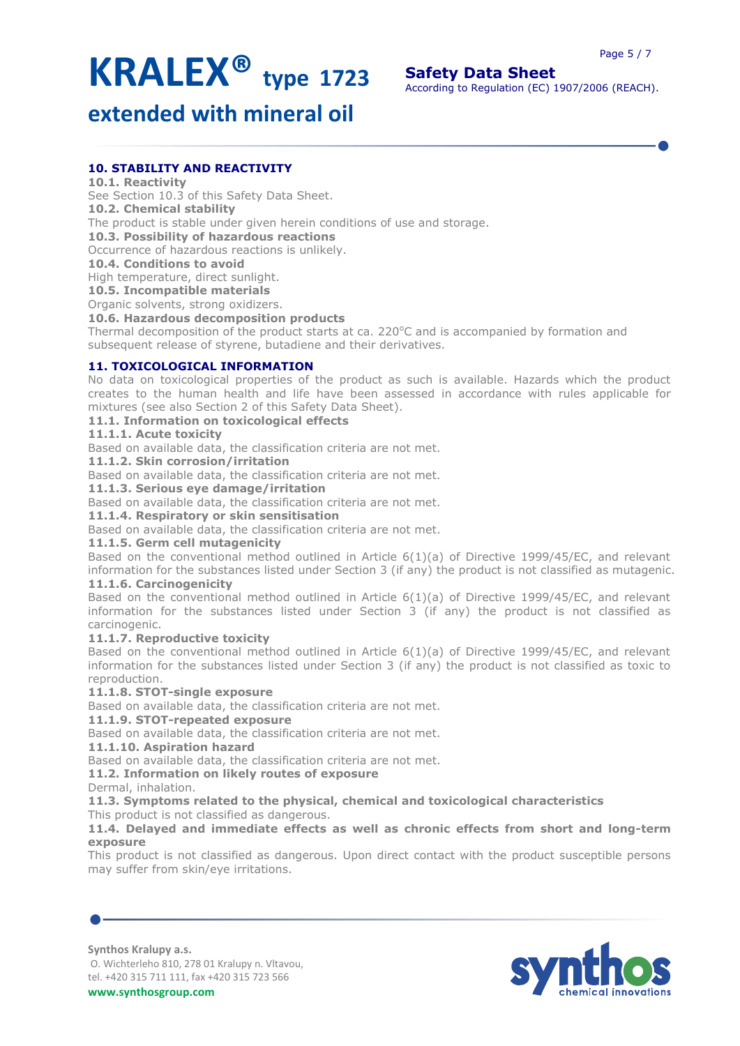# **Safety Data Sheet**

According to Regulation (EC) 1907/2006 (REACH).

# **extended with mineral oil**

# **10. STABILITY AND REACTIVITY**

# **10.1. Reactivity**

See Section 10.3 of this Safety Data Sheet. **10.2. Chemical stability** The product is stable under given herein conditions of use and storage. **10.3. Possibility of hazardous reactions** Occurrence of hazardous reactions is unlikely.

**10.4. Conditions to avoid**

High temperature, direct sunlight.

**10.5. Incompatible materials**

Organic solvents, strong oxidizers.

**10.6. Hazardous decomposition products**

Thermal decomposition of the product starts at ca. 220 $^{\circ}$ C and is accompanied by formation and subsequent release of styrene, butadiene and their derivatives.

# **11. TOXICOLOGICAL INFORMATION**

No data on toxicological properties of the product as such is available. Hazards which the product creates to the human health and life have been assessed in accordance with rules applicable for mixtures (see also Section 2 of this Safety Data Sheet).

# **11.1. Information on toxicological effects**

### **11.1.1. Acute toxicity**

Based on available data, the classification criteria are not met.

**11.1.2. Skin corrosion/irritation**

Based on available data, the classification criteria are not met.

# **11.1.3. Serious eye damage/irritation**

Based on available data, the classification criteria are not met.

**11.1.4. Respiratory or skin sensitisation**

Based on available data, the classification criteria are not met.

# **11.1.5. Germ cell mutagenicity**

Based on the conventional method outlined in Article 6(1)(a) of Directive 1999/45/EC, and relevant information for the substances listed under Section 3 (if any) the product is not classified as mutagenic. **11.1.6. Carcinogenicity**

Based on the conventional method outlined in Article 6(1)(a) of Directive 1999/45/EC, and relevant information for the substances listed under Section  $3$  (if any) the product is not classified as carcinogenic.

# **11.1.7. Reproductive toxicity**

Based on the conventional method outlined in Article 6(1)(a) of Directive 1999/45/EC, and relevant information for the substances listed under Section 3 (if any) the product is not classified as toxic to reproduction.

# **11.1.8. STOT-single exposure**

Based on available data, the classification criteria are not met.

# **11.1.9. STOT-repeated exposure**

Based on available data, the classification criteria are not met.

# **11.1.10. Aspiration hazard**

Based on available data, the classification criteria are not met.

# **11.2. Information on likely routes of exposure**

Dermal, inhalation.

**11.3. Symptoms related to the physical, chemical and toxicological characteristics**

This product is not classified as dangerous.

### **11.4. Delayed and immediate effects as well as chronic effects from short and long-term exposure**

This product is not classified as dangerous. Upon direct contact with the product susceptible persons may suffer from skin/eye irritations.

#### **Synthos Kralupy a.s.**

O. Wichterleho 810, 278 01 Kralupy n. Vltavou, tel. +420 315 711 111, fax +420 315 723 566

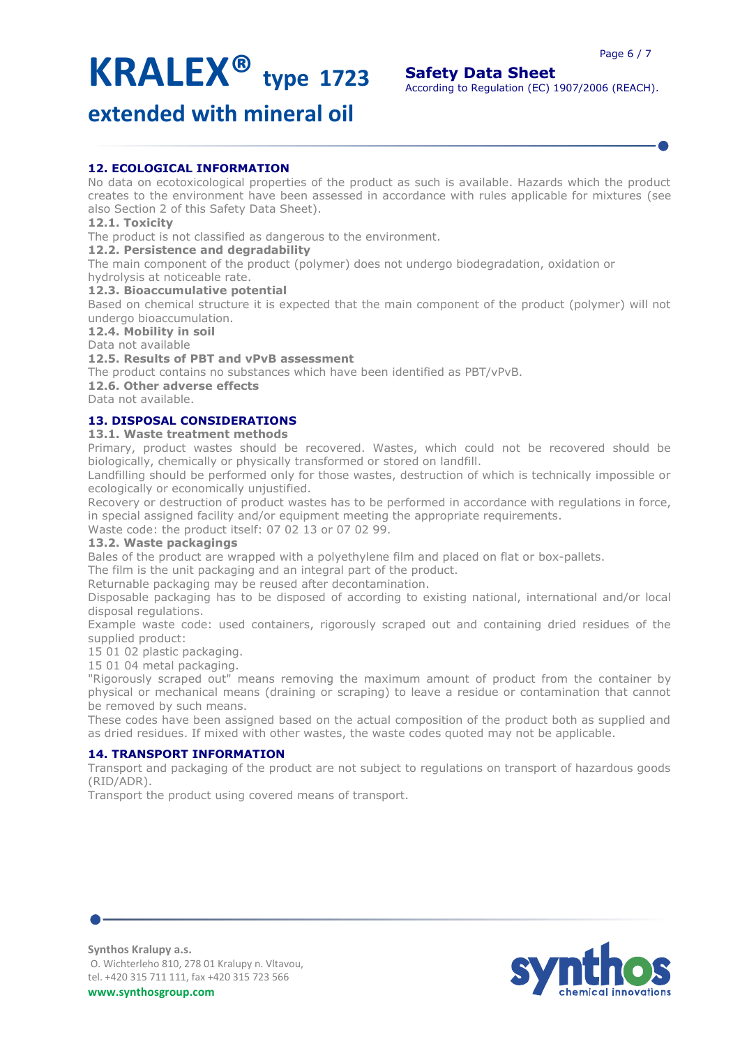**Safety Data Sheet** According to Regulation (EC) 1907/2006 (REACH).

# **extended with mineral oil**

# **12. ECOLOGICAL INFORMATION**

No data on ecotoxicological properties of the product as such is available. Hazards which the product creates to the environment have been assessed in accordance with rules applicable for mixtures (see also Section 2 of this Safety Data Sheet).

# **12.1. Toxicity**

The product is not classified as dangerous to the environment.

# **12.2. Persistence and degradability**

The main component of the product (polymer) does not undergo biodegradation, oxidation or hydrolysis at noticeable rate.

# **12.3. Bioaccumulative potential**

Based on chemical structure it is expected that the main component of the product (polymer) will not undergo bioaccumulation.

# **12.4. Mobility in soil**

Data not available

# **12.5. Results of PBT and vPvB assessment**

The product contains no substances which have been identified as PBT/vPvB.

**12.6. Other adverse effects**

Data not available.

# **13. DISPOSAL CONSIDERATIONS**

# **13.1. Waste treatment methods**

Primary, product wastes should be recovered. Wastes, which could not be recovered should be biologically, chemically or physically transformed or stored on landfill.

Landfilling should be performed only for those wastes, destruction of which is technically impossible or ecologically or economically unjustified.

Recovery or destruction of product wastes has to be performed in accordance with regulations in force, in special assigned facility and/or equipment meeting the appropriate requirements.

Waste code: the product itself: 07 02 13 or 07 02 99.

# **13.2. Waste packagings**

Bales of the product are wrapped with a polyethylene film and placed on flat or box-pallets.

The film is the unit packaging and an integral part of the product.

Returnable packaging may be reused after decontamination.

Disposable packaging has to be disposed of according to existing national, international and/or local disposal regulations.

Example waste code: used containers, rigorously scraped out and containing dried residues of the supplied product:

15 01 02 plastic packaging.

15 01 04 metal packaging.

"Rigorously scraped out" means removing the maximum amount of product from the container by physical or mechanical means (draining or scraping) to leave a residue or contamination that cannot be removed by such means.

These codes have been assigned based on the actual composition of the product both as supplied and as dried residues. If mixed with other wastes, the waste codes quoted may not be applicable.

# **14. TRANSPORT INFORMATION**

Transport and packaging of the product are not subject to regulations on transport of hazardous goods (RID/ADR).

Transport the product using covered means of transport.



**Synthos Kralupy a.s.** O. Wichterleho 810, 278 01 Kralupy n. Vltavou, tel. +420 315 711 111, fax +420 315 723 566